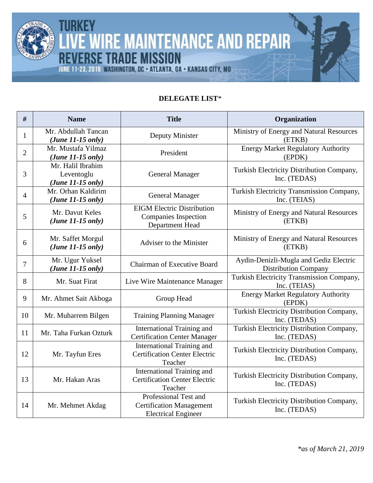**IRE MAINTENANCE AND REPAIR**<br>TRADE MISSION E

JUNE 11-23, 2019 WASHINGTON, DC - ATLANTA, GA - KANSAS CITY, MO

R

## **DELEGATE LIST**\*

| #              | <b>Name</b>                                            | <b>Title</b>                                                                           | Organization                                                          |
|----------------|--------------------------------------------------------|----------------------------------------------------------------------------------------|-----------------------------------------------------------------------|
| 1              | Mr. Abdullah Tancan<br>$(June 11-15 only)$             | Deputy Minister                                                                        | Ministry of Energy and Natural Resources<br>(ETKB)                    |
| $\overline{2}$ | Mr. Mustafa Yilmaz<br>$(June 11-15 only)$              | President                                                                              | <b>Energy Market Regulatory Authority</b><br>(EPDK)                   |
| 3              | Mr. Halil Ibrahim<br>Leventoglu<br>$(June 11-15 only)$ | <b>General Manager</b>                                                                 | Turkish Electricity Distribution Company,<br>Inc. (TEDAS)             |
| 4              | Mr. Orhan Kaldirim<br>$(June 11-15 only)$              | <b>General Manager</b>                                                                 | Turkish Electricity Transmission Company,<br>Inc. (TEIAS)             |
| 5              | Mr. Davut Keles<br>$(June 11-15 only)$                 | <b>EIGM Electric Distribution</b><br><b>Companies Inspection</b><br>Department Head    | Ministry of Energy and Natural Resources<br>(ETKB)                    |
| 6              | Mr. Saffet Morgul<br>$(June 11-15 only)$               | Adviser to the Minister                                                                | Ministry of Energy and Natural Resources<br>(ETKB)                    |
| $\overline{7}$ | Mr. Ugur Yuksel<br>$(June 11-15 only)$                 | <b>Chairman of Executive Board</b>                                                     | Aydin-Denizli-Mugla and Gediz Electric<br><b>Distribution Company</b> |
| 8              | Mr. Suat Firat                                         | Live Wire Maintenance Manager                                                          | Turkish Electricity Transmission Company,<br>Inc. (TEIAS)             |
| 9              | Mr. Ahmet Sait Akboga                                  | Group Head                                                                             | <b>Energy Market Regulatory Authority</b><br>(EPDK)                   |
| 10             | Mr. Muharrem Bilgen                                    | <b>Training Planning Manager</b>                                                       | Turkish Electricity Distribution Company,<br>Inc. (TEDAS)             |
| 11             | Mr. Taha Furkan Ozturk                                 | International Training and<br><b>Certification Center Manager</b>                      | Turkish Electricity Distribution Company,<br>Inc. (TEDAS)             |
| 12             | Mr. Tayfun Eres                                        | <b>International Training and</b><br><b>Certification Center Electric</b><br>Teacher   | Turkish Electricity Distribution Company,<br>Inc. (TEDAS)             |
| 13             | Mr. Hakan Aras                                         | International Training and<br><b>Certification Center Electric</b><br>Teacher          | Turkish Electricity Distribution Company,<br>Inc. (TEDAS)             |
| 14             | Mr. Mehmet Akdag                                       | Professional Test and<br><b>Certification Management</b><br><b>Electrical Engineer</b> | Turkish Electricity Distribution Company,<br>Inc. (TEDAS)             |